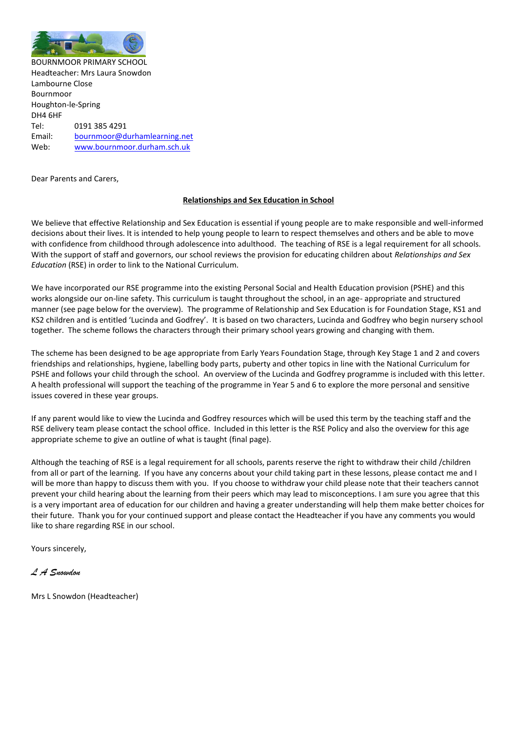

BOURNMOOR PRIMARY SCHOOL Headteacher: Mrs Laura Snowdon Lambourne Close Bournmoor Houghton-le-Spring DH4 6HF Tel: 0191 385 4291 Email: [bournmoor@durhamlearning.net](mailto:bournmoor@durhamlearning.net) Web: [www.bournmoor.durham.sch.uk](http://www.bournmoor.durham.sch.uk/)

Dear Parents and Carers,

# **Relationships and Sex Education in School**

We believe that effective Relationship and Sex Education is essential if young people are to make responsible and well-informed decisions about their lives. It is intended to help young people to learn to respect themselves and others and be able to move with confidence from childhood through adolescence into adulthood. The teaching of RSE is a legal requirement for all schools. With the support of staff and governors, our school reviews the provision for educating children about *Relationships and Sex Education* (RSE) in order to link to the National Curriculum.

We have incorporated our RSE programme into the existing Personal Social and Health Education provision (PSHE) and this works alongside our on-line safety. This curriculum is taught throughout the school, in an age- appropriate and structured manner (see page below for the overview). The programme of Relationship and Sex Education is for Foundation Stage, KS1 and KS2 children and is entitled 'Lucinda and Godfrey'. It is based on two characters, Lucinda and Godfrey who begin nursery school together. The scheme follows the characters through their primary school years growing and changing with them.

The scheme has been designed to be age appropriate from Early Years Foundation Stage, through Key Stage 1 and 2 and covers friendships and relationships, hygiene, labelling body parts, puberty and other topics in line with the National Curriculum for PSHE and follows your child through the school. An overview of the Lucinda and Godfrey programme is included with this letter. A health professional will support the teaching of the programme in Year 5 and 6 to explore the more personal and sensitive issues covered in these year groups.

If any parent would like to view the Lucinda and Godfrey resources which will be used this term by the teaching staff and the RSE delivery team please contact the school office. Included in this letter is the RSE Policy and also the overview for this age appropriate scheme to give an outline of what is taught (final page).

Although the teaching of RSE is a legal requirement for all schools, parents reserve the right to withdraw their child /children from all or part of the learning. If you have any concerns about your child taking part in these lessons, please contact me and I will be more than happy to discuss them with you. If you choose to withdraw your child please note that their teachers cannot prevent your child hearing about the learning from their peers which may lead to misconceptions. I am sure you agree that this is a very important area of education for our children and having a greater understanding will help them make better choices for their future. Thank you for your continued support and please contact the Headteacher if you have any comments you would like to share regarding RSE in our school.

Yours sincerely,

*L A Snowdon* 

Mrs L Snowdon (Headteacher)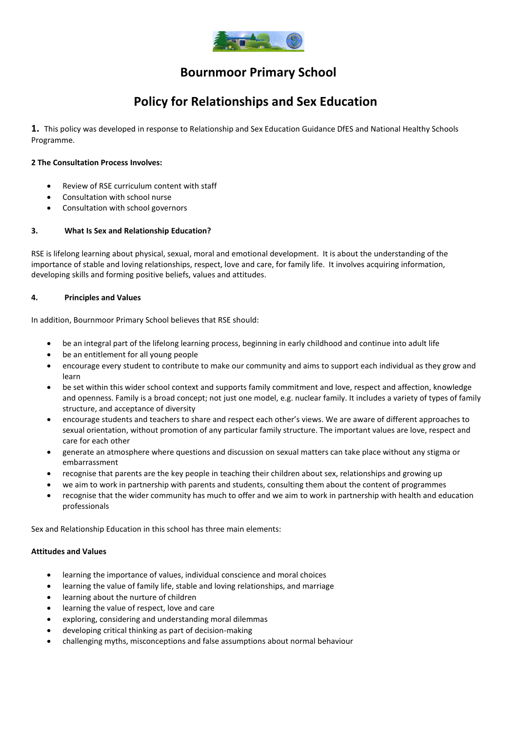

# **Bournmoor Primary School**

# **Policy for Relationships and Sex Education**

**1.** This policy was developed in response to Relationship and Sex Education Guidance DfES and National Healthy Schools Programme.

# **2 The Consultation Process Involves:**

- Review of RSE curriculum content with staff
- Consultation with school nurse
- Consultation with school governors

# **3. What Is Sex and Relationship Education?**

RSE is lifelong learning about physical, sexual, moral and emotional development. It is about the understanding of the importance of stable and loving relationships, respect, love and care, for family life. It involves acquiring information, developing skills and forming positive beliefs, values and attitudes.

### **4. Principles and Values**

In addition, Bournmoor Primary School believes that RSE should:

- be an integral part of the lifelong learning process, beginning in early childhood and continue into adult life
- be an entitlement for all young people
- encourage every student to contribute to make our community and aims to support each individual as they grow and learn
- be set within this wider school context and supports family commitment and love, respect and affection, knowledge and openness. Family is a broad concept; not just one model, e.g. nuclear family. It includes a variety of types of family structure, and acceptance of diversity
- encourage students and teachers to share and respect each other's views. We are aware of different approaches to sexual orientation, without promotion of any particular family structure. The important values are love, respect and care for each other
- generate an atmosphere where questions and discussion on sexual matters can take place without any stigma or embarrassment
- recognise that parents are the key people in teaching their children about sex, relationships and growing up
- we aim to work in partnership with parents and students, consulting them about the content of programmes
- recognise that the wider community has much to offer and we aim to work in partnership with health and education professionals

Sex and Relationship Education in this school has three main elements:

### **Attitudes and Values**

- learning the importance of values, individual conscience and moral choices
- learning the value of family life, stable and loving relationships, and marriage
- learning about the nurture of children
- learning the value of respect, love and care
- exploring, considering and understanding moral dilemmas
- developing critical thinking as part of decision-making
- challenging myths, misconceptions and false assumptions about normal behaviour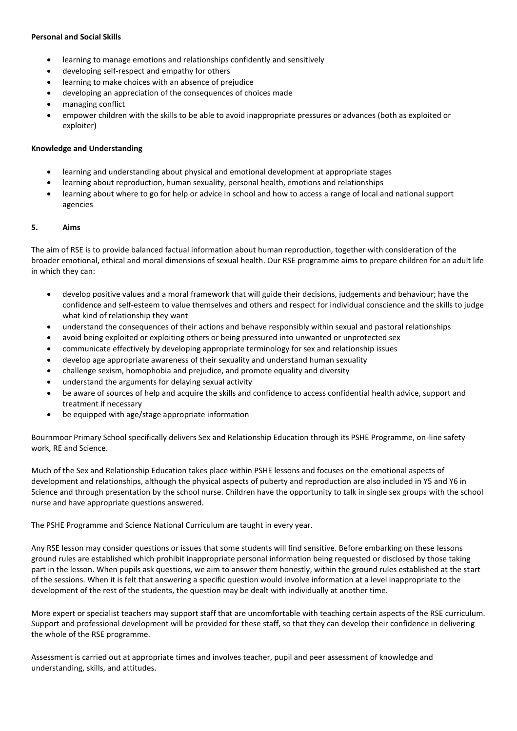# **Personal and Social Skills**

- learning to manage emotions and relationships confidently and sensitively
- developing self-respect and empathy for others
- learning to make choices with an absence of prejudice
- developing an appreciation of the consequences of choices made
- managing conflict
- empower children with the skills to be able to avoid inappropriate pressures or advances (both as exploited or exploiter)

# **Knowledge and Understanding**

- learning and understanding about physical and emotional development at appropriate stages
- learning about reproduction, human sexuality, personal health, emotions and relationships
- learning about where to go for help or advice in school and how to access a range of local and national support agencies

### **5. Aims**

The aim of RSE is to provide balanced factual information about human reproduction, together with consideration of the broader emotional, ethical and moral dimensions of sexual health. Our RSE programme aims to prepare children for an adult life in which they can:

- develop positive values and a moral framework that will guide their decisions, judgements and behaviour; have the confidence and self-esteem to value themselves and others and respect for individual conscience and the skills to judge what kind of relationship they want
- understand the consequences of their actions and behave responsibly within sexual and pastoral relationships
- avoid being exploited or exploiting others or being pressured into unwanted or unprotected sex
- communicate effectively by developing appropriate terminology for sex and relationship issues
- develop age appropriate awareness of their sexuality and understand human sexuality
- challenge sexism, homophobia and prejudice, and promote equality and diversity
- understand the arguments for delaying sexual activity
- be aware of sources of help and acquire the skills and confidence to access confidential health advice, support and treatment if necessary
- be equipped with age/stage appropriate information

Bournmoor Primary School specifically delivers Sex and Relationship Education through its PSHE Programme, on-line safety work, RE and Science.

Much of the Sex and Relationship Education takes place within PSHE lessons and focuses on the emotional aspects of development and relationships, although the physical aspects of puberty and reproduction are also included in Y5 and Y6 in Science and through presentation by the school nurse. Children have the opportunity to talk in single sex groups with the school nurse and have appropriate questions answered.

The PSHE Programme and Science National Curriculum are taught in every year.

Any RSE lesson may consider questions or issues that some students will find sensitive. Before embarking on these lessons ground rules are established which prohibit inappropriate personal information being requested or disclosed by those taking part in the lesson. When pupils ask questions, we aim to answer them honestly, within the ground rules established at the start of the sessions. When it is felt that answering a specific question would involve information at a level inappropriate to the development of the rest of the students, the question may be dealt with individually at another time.

More expert or specialist teachers may support staff that are uncomfortable with teaching certain aspects of the RSE curriculum. Support and professional development will be provided for these staff, so that they can develop their confidence in delivering the whole of the RSE programme.

Assessment is carried out at appropriate times and involves teacher, pupil and peer assessment of knowledge and understanding, skills, and attitudes.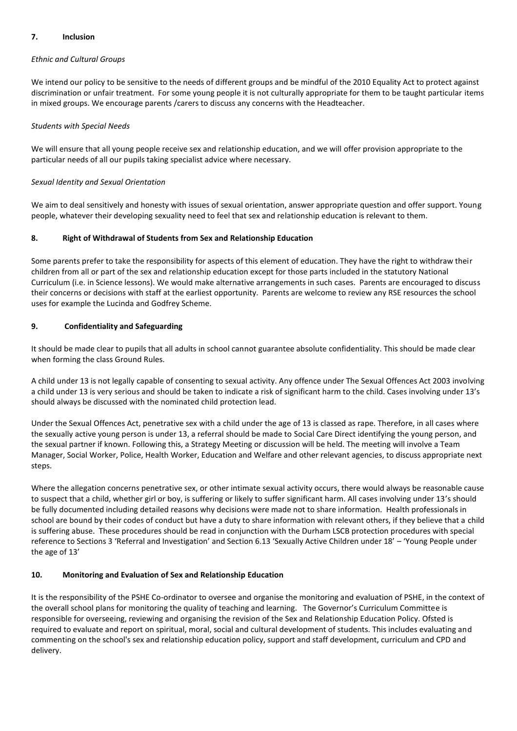# **7. Inclusion**

### *Ethnic and Cultural Groups*

We intend our policy to be sensitive to the needs of different groups and be mindful of the 2010 Equality Act to protect against discrimination or unfair treatment. For some young people it is not culturally appropriate for them to be taught particular items in mixed groups. We encourage parents /carers to discuss any concerns with the Headteacher.

### *Students with Special Needs*

We will ensure that all young people receive sex and relationship education, and we will offer provision appropriate to the particular needs of all our pupils taking specialist advice where necessary.

# *Sexual Identity and Sexual Orientation*

We aim to deal sensitively and honesty with issues of sexual orientation, answer appropriate question and offer support. Young people, whatever their developing sexuality need to feel that sex and relationship education is relevant to them.

# **8. Right of Withdrawal of Students from Sex and Relationship Education**

Some parents prefer to take the responsibility for aspects of this element of education. They have the right to withdraw their children from all or part of the sex and relationship education except for those parts included in the statutory National Curriculum (i.e. in Science lessons). We would make alternative arrangements in such cases. Parents are encouraged to discuss their concerns or decisions with staff at the earliest opportunity. Parents are welcome to review any RSE resources the school uses for example the Lucinda and Godfrey Scheme.

# **9. Confidentiality and Safeguarding**

It should be made clear to pupils that all adults in school cannot guarantee absolute confidentiality. This should be made clear when forming the class Ground Rules.

A child under 13 is not legally capable of consenting to sexual activity. Any offence under The Sexual Offences Act 2003 involving a child under 13 is very serious and should be taken to indicate a risk of significant harm to the child. Cases involving under 13's should always be discussed with the nominated child protection lead.

Under the Sexual Offences Act, penetrative sex with a child under the age of 13 is classed as rape. Therefore, in all cases where the sexually active young person is under 13, a referral should be made to Social Care Direct identifying the young person, and the sexual partner if known. Following this, a Strategy Meeting or discussion will be held. The meeting will involve a Team Manager, Social Worker, Police, Health Worker, Education and Welfare and other relevant agencies, to discuss appropriate next steps.

Where the allegation concerns penetrative sex, or other intimate sexual activity occurs, there would always be reasonable cause to suspect that a child, whether girl or boy, is suffering or likely to suffer significant harm. All cases involving under 13's should be fully documented including detailed reasons why decisions were made not to share information. Health professionals in school are bound by their codes of conduct but have a duty to share information with relevant others, if they believe that a child is suffering abuse. These procedures should be read in conjunction with the Durham LSCB protection procedures with special reference to Sections 3 'Referral and Investigation' and Section 6.13 'Sexually Active Children under 18' – 'Young People under the age of 13'

# **10. Monitoring and Evaluation of Sex and Relationship Education**

It is the responsibility of the PSHE Co-ordinator to oversee and organise the monitoring and evaluation of PSHE, in the context of the overall school plans for monitoring the quality of teaching and learning. The Governor's Curriculum Committee is responsible for overseeing, reviewing and organising the revision of the Sex and Relationship Education Policy. Ofsted is required to evaluate and report on spiritual, moral, social and cultural development of students. This includes evaluating and commenting on the school's sex and relationship education policy, support and staff development, curriculum and CPD and delivery.